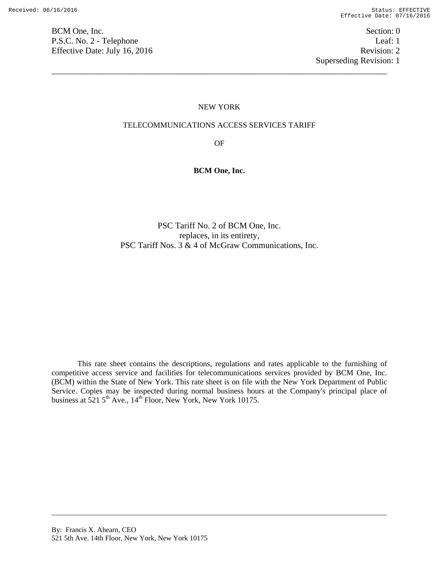BCM One, Inc. Section: 0 P.S.C. No. 2 - Telephone Leaf: 1 Effective Date: July 16, 2016 Revision: 2

Superseding Revision: 1

#### NEW YORK

\_\_\_\_\_\_\_\_\_\_\_\_\_\_\_\_\_\_\_\_\_\_\_\_\_\_\_\_\_\_\_\_\_\_\_\_\_\_\_\_\_\_\_\_\_\_\_\_\_\_\_\_\_\_\_\_\_\_\_\_\_\_\_\_\_\_\_\_\_\_\_\_\_\_\_\_\_\_

#### TELECOMMUNICATIONS ACCESS SERVICES TARIFF

OF

### **BCM One, Inc.**

PSC Tariff No. 2 of BCM One, Inc. replaces, in its entirety, PSC Tariff Nos. 3 & 4 of McGraw Communications, Inc.

This rate sheet contains the descriptions, regulations and rates applicable to the furnishing of competitive access service and facilities for telecommunications services provided by BCM One, Inc. (BCM) within the State of New York. This rate sheet is on file with the New York Department of Public Service. Copies may be inspected during normal business hours at the Company's principal place of business at  $521.5^{\text{th}}$  Ave.,  $14^{\text{th}}$  Floor, New York, New York 10175.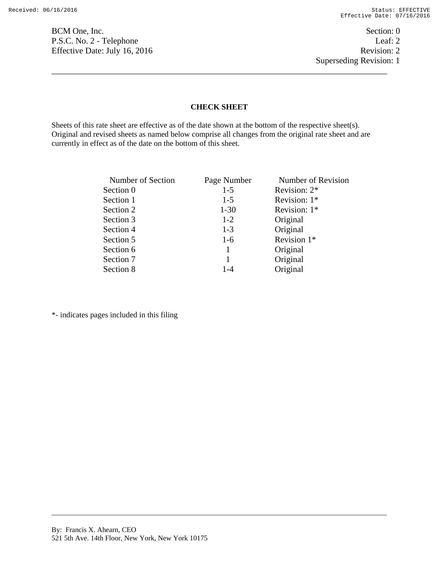BCM One, Inc. Section: 0 P.S.C. No. 2 - Telephone Leaf: 2 Effective Date: July 16, 2016 Revision: 2

Superseding Revision: 1

### **CHECK SHEET**

\_\_\_\_\_\_\_\_\_\_\_\_\_\_\_\_\_\_\_\_\_\_\_\_\_\_\_\_\_\_\_\_\_\_\_\_\_\_\_\_\_\_\_\_\_\_\_\_\_\_\_\_\_\_\_\_\_\_\_\_\_\_\_\_\_\_\_\_\_\_\_\_\_\_\_\_\_\_

Sheets of this rate sheet are effective as of the date shown at the bottom of the respective sheet(s). Original and revised sheets as named below comprise all changes from the original rate sheet and are currently in effect as of the date on the bottom of this sheet.

| Number of Section | Page Number | Number of Revision |
|-------------------|-------------|--------------------|
| Section 0         | $1-5$       | Revision: 2*       |
| Section 1         | $1-5$       | Revision: $1*$     |
| Section 2         | $1 - 30$    | Revision: $1*$     |
| Section 3         | $1 - 2$     | Original           |
| Section 4         | $1 - 3$     | Original           |
| Section 5         | $1-6$       | Revision 1*        |
| Section 6         | 1           | Original           |
| Section 7         | 1           | Original           |
| Section 8         | $1 - 4$     | Original           |

\*- indicates pages included in this filing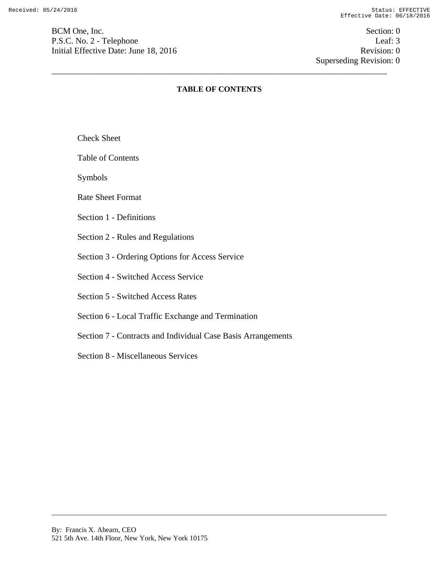BCM One, Inc. Section: 0 P.S.C. No. 2 - Telephone Leaf: 3 Initial Effective Date: June 18, 2016 Revision: 0

 Superseding Revision: 0 \_\_\_\_\_\_\_\_\_\_\_\_\_\_\_\_\_\_\_\_\_\_\_\_\_\_\_\_\_\_\_\_\_\_\_\_\_\_\_\_\_\_\_\_\_\_\_\_\_\_\_\_\_\_\_\_\_\_\_\_\_\_\_\_\_\_\_\_\_\_\_\_\_\_\_\_\_\_

# **TABLE OF CONTENTS**

Check Sheet

Table of Contents

Symbols

Rate Sheet Format

Section 1 - Definitions

Section 2 - Rules and Regulations

Section 3 - Ordering Options for Access Service

Section 4 - Switched Access Service

Section 5 - Switched Access Rates

Section 6 - Local Traffic Exchange and Termination

Section 7 - Contracts and Individual Case Basis Arrangements

Section 8 - Miscellaneous Services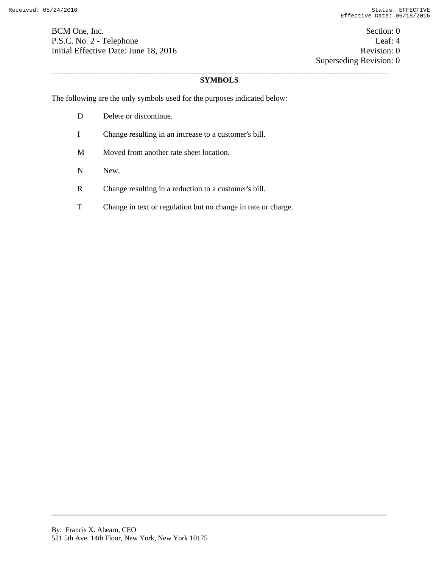BCM One, Inc. Section: 0 P.S.C. No. 2 - Telephone Leaf: 4 Initial Effective Date: June 18, 2016 Revision: 0

 Superseding Revision: 0 \_\_\_\_\_\_\_\_\_\_\_\_\_\_\_\_\_\_\_\_\_\_\_\_\_\_\_\_\_\_\_\_\_\_\_\_\_\_\_\_\_\_\_\_\_\_\_\_\_\_\_\_\_\_\_\_\_\_\_\_\_\_\_\_\_\_\_\_\_\_\_\_\_\_\_\_\_\_

# **SYMBOLS**

The following are the only symbols used for the purposes indicated below:

- D Delete or discontinue. I Change resulting in an increase to a customer's bill. M Moved from another rate sheet location. N New.
- R Change resulting in a reduction to a customer's bill.
- T Change in text or regulation but no change in rate or charge.